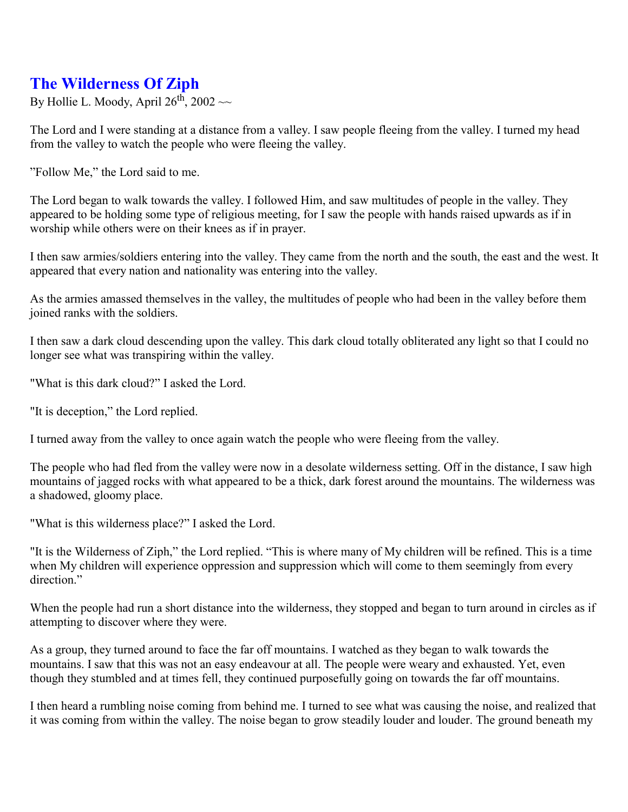## **The Wilderness Of Ziph**

By Hollie L. Moody, April  $26^{th}$ ,  $2002 \sim$ 

The Lord and I were standing at a distance from a valley. I saw people fleeing from the valley. I turned my head from the valley to watch the people who were fleeing the valley.

" Follow Me," the Lord said to me.

The Lord began to walk towards the valley. I followed Him, and saw multitudes of people in the valley. They appeared to be holding some type of religious meeting, for I saw the people with hands raised upwards as if in worship while others were on their knees as if in prayer.

I then saw armies/soldiers entering into the valley. They came from the north and the south, the east and the west. It appeared that every nation and nationality was entering into the valley.

As the armies amassed themselves in the valley, the multitudes of people who had been in the valley before them joined ranks with the soldiers.

I then saw a dark cloud descending upon the valley. This dark cloud totally obliterated any light so that I could no longer see what was transpiring within the valley.

"What is this dark cloud?" I asked the Lord.

"It is deception," the Lord replied.

I turned away from the valley to once again watch the people who were fleeing from the valley.

The people who had fled from the valley were now in a desolate wilderness setting. Off in the distance, I saw high mountains of jagged rocks with what appeared to be a thick, dark forest around the mountains. The wilderness was a shadowed, gloomy place.

"What is this wilderness place?" I asked the Lord.

"It is the Wilderness of Ziph," the Lord replied. "This is where many of My children will be refined. This is a time when My children will experience oppression and suppression which will come to them seemingly from every direction"

When the people had run a short distance into the wilderness, they stopped and began to turn around in circles as if attempting to discover where they were.

As a group, they turned around to face the far off mountains. I watched as they began to walk towards the mountains. I saw that this was not an easy endeavour at all. The people were weary and exhausted. Yet, even though they stumbled and at times fell, they continued purposefully going on towards the far off mountains.

I then heard a rumbling noise coming from behind me. I turned to see what was causing the noise, and realized that it was coming from within the valley. The noise began to grow steadily louder and louder. The ground beneath my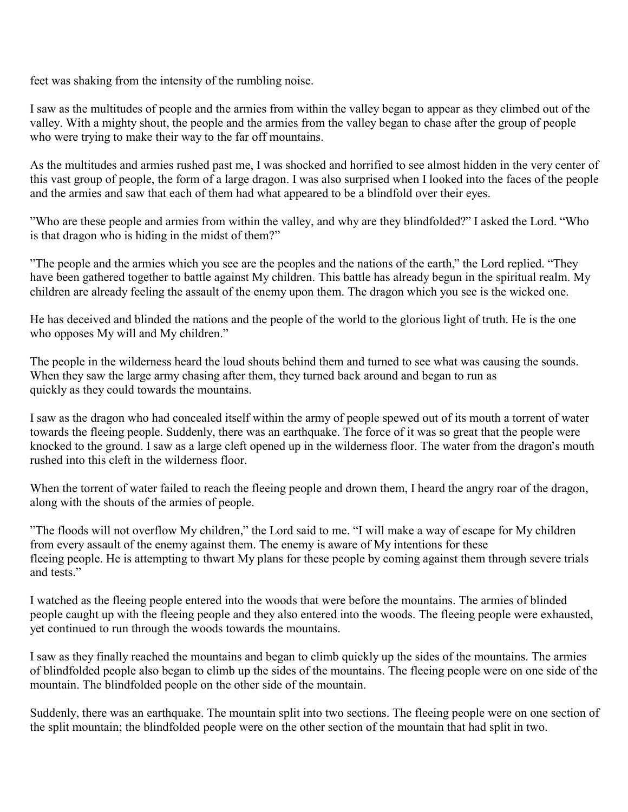feet was shaking from the intensity of the rumbling noise.

I saw as the multitudes of people and the armies from within the valley began to appear as they climbed out of the valley. With a mighty shout, the people and the armies from the valley began to chase after the group of people who were trying to make their way to the far off mountains.

As the multitudes and armies rushed past me, I was shocked and horrified to see almost hidden in the very center of this vast group of people, the form of a large dragon. I was also surprised when I looked into the faces of the people and the armies and saw that each of them had what appeared to be a blindfold over their eyes.

" Who are these people and armies from within the valley, and why are they blindfolded?" I asked the Lord. "Who is that dragon who is hiding in the midst of them?"

" The people and the armies which you see are the peoples and the nations of the earth," the Lord replied. "They have been gathered together to battle against My children. This battle has already begun in the spiritual realm. My children are already feeling the assault of the enemy upon them. The dragon which you see is the wicked one.

He has deceived and blinded the nations and the people of the world to the glorious light of truth. He is the one who opposes My will and My children."

The people in the wilderness heard the loud shouts behind them and turned to see what was causing the sounds. When they saw the large army chasing after them, they turned back around and began to run as quickly as they could towards the mountains.

I saw as the dragon who had concealed itself within the army of people spewed out of its mouth a torrent of water towards the fleeing people. Suddenly, there was an earthquake. The force of it was so great that the people were knocked to the ground. I saw as a large cleft opened up in the wilderness floor. The water from the dragon's mouth rushed into this cleft in the wilderness floor.

When the torrent of water failed to reach the fleeing people and drown them, I heard the angry roar of the dragon, along with the shouts of the armies of people.

" The floods will not overflow My children," the Lord said to me. "I will make a way of escape for My children from every assault of the enemy against them. The enemy is aware of My intentions for these fleeing people. He is attempting to thwart My plans for these people by coming against them through severe trials and tests"

I watched as the fleeing people entered into the woods that were before the mountains. The armies of blinded people caught up with the fleeing people and they also entered into the woods. The fleeing people were exhausted, yet continued to run through the woods towards the mountains.

I saw as they finally reached the mountains and began to climb quickly up the sides of the mountains. The armies of blindfolded people also began to climb up the sides of the mountains. The fleeing people were on one side of the mountain. The blindfolded people on the other side of the mountain.

Suddenly, there was an earthquake. The mountain split into two sections. The fleeing people were on one section of the split mountain; the blindfolded people were on the other section of the mountain that had split in two.